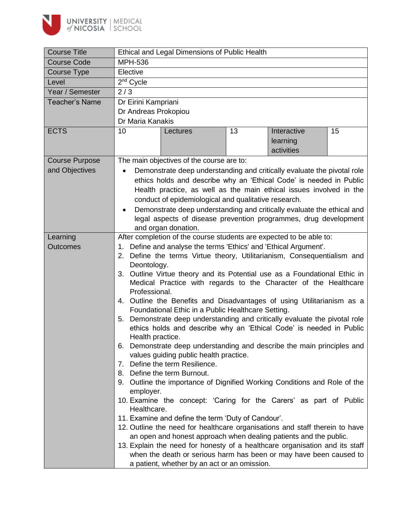

| <b>Course Title</b>   | Ethical and Legal Dimensions of Public Health                                     |  |  |  |  |
|-----------------------|-----------------------------------------------------------------------------------|--|--|--|--|
| <b>Course Code</b>    | <b>MPH-536</b>                                                                    |  |  |  |  |
| <b>Course Type</b>    | Elective                                                                          |  |  |  |  |
| Level                 | 2 <sup>nd</sup> Cycle                                                             |  |  |  |  |
| Year / Semester       | 2/3                                                                               |  |  |  |  |
| <b>Teacher's Name</b> | Dr Eirini Kampriani                                                               |  |  |  |  |
|                       | Dr Andreas Prokopiou                                                              |  |  |  |  |
|                       | Dr Maria Kanakis                                                                  |  |  |  |  |
| <b>ECTS</b>           | Interactive<br>15<br>13<br>10<br>Lectures                                         |  |  |  |  |
|                       | learning                                                                          |  |  |  |  |
|                       | activities                                                                        |  |  |  |  |
| <b>Course Purpose</b> | The main objectives of the course are to:                                         |  |  |  |  |
| and Objectives        | Demonstrate deep understanding and critically evaluate the pivotal role           |  |  |  |  |
|                       | ethics holds and describe why an 'Ethical Code' is needed in Public               |  |  |  |  |
|                       | Health practice, as well as the main ethical issues involved in the               |  |  |  |  |
|                       | conduct of epidemiological and qualitative research.                              |  |  |  |  |
|                       | Demonstrate deep understanding and critically evaluate the ethical and            |  |  |  |  |
|                       | legal aspects of disease prevention programmes, drug development                  |  |  |  |  |
|                       | and organ donation.                                                               |  |  |  |  |
| Learning              | After completion of the course students are expected to be able to:               |  |  |  |  |
| <b>Outcomes</b>       | 1. Define and analyse the terms 'Ethics' and 'Ethical Argument'.                  |  |  |  |  |
|                       | 2. Define the terms Virtue theory, Utilitarianism, Consequentialism and           |  |  |  |  |
|                       | Deontology.                                                                       |  |  |  |  |
|                       | 3. Outline Virtue theory and its Potential use as a Foundational Ethic in         |  |  |  |  |
|                       | Medical Practice with regards to the Character of the Healthcare<br>Professional. |  |  |  |  |
|                       | 4. Outline the Benefits and Disadvantages of using Utilitarianism as a            |  |  |  |  |
|                       | Foundational Ethic in a Public Healthcare Setting.                                |  |  |  |  |
|                       | 5. Demonstrate deep understanding and critically evaluate the pivotal role        |  |  |  |  |
|                       | ethics holds and describe why an 'Ethical Code' is needed in Public               |  |  |  |  |
|                       | Health practice.                                                                  |  |  |  |  |
|                       | 6. Demonstrate deep understanding and describe the main principles and            |  |  |  |  |
|                       | values guiding public health practice.                                            |  |  |  |  |
|                       | Define the term Resilience.<br>7.                                                 |  |  |  |  |
|                       | 8. Define the term Burnout.                                                       |  |  |  |  |
|                       | 9. Outline the importance of Dignified Working Conditions and Role of the         |  |  |  |  |
|                       | employer.                                                                         |  |  |  |  |
|                       | 10. Examine the concept: 'Caring for the Carers' as part of Public<br>Healthcare. |  |  |  |  |
|                       | 11. Examine and define the term 'Duty of Candour'.                                |  |  |  |  |
|                       | 12. Outline the need for healthcare organisations and staff therein to have       |  |  |  |  |
|                       | an open and honest approach when dealing patients and the public.                 |  |  |  |  |
|                       | 13. Explain the need for honesty of a healthcare organisation and its staff       |  |  |  |  |
|                       | when the death or serious harm has been or may have been caused to                |  |  |  |  |
|                       | a patient, whether by an act or an omission.                                      |  |  |  |  |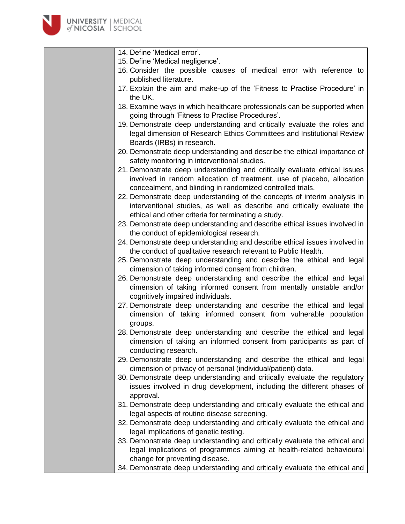

- 14. Define 'Medical error'.
- 15. Define 'Medical negligence'.
- 16. Consider the possible causes of medical error with reference to published literature.
- 17. Explain the aim and make-up of the 'Fitness to Practise Procedure' in the UK.
- 18. Examine ways in which healthcare professionals can be supported when going through 'Fitness to Practise Procedures'.
- 19. Demonstrate deep understanding and critically evaluate the roles and legal dimension of Research Ethics Committees and Institutional Review Boards (IRBs) in research.
- 20. Demonstrate deep understanding and describe the ethical importance of safety monitoring in interventional studies.
- 21. Demonstrate deep understanding and critically evaluate ethical issues involved in random allocation of treatment, use of placebo, allocation concealment, and blinding in randomized controlled trials.
- 22. Demonstrate deep understanding of the concepts of interim analysis in interventional studies, as well as describe and critically evaluate the ethical and other criteria for terminating a study.
- 23. Demonstrate deep understanding and describe ethical issues involved in the conduct of epidemiological research.
- 24. Demonstrate deep understanding and describe ethical issues involved in the conduct of qualitative research relevant to Public Health.
- 25. Demonstrate deep understanding and describe the ethical and legal dimension of taking informed consent from children.
- 26. Demonstrate deep understanding and describe the ethical and legal dimension of taking informed consent from mentally unstable and/or cognitively impaired individuals.
- 27. Demonstrate deep understanding and describe the ethical and legal dimension of taking informed consent from vulnerable population groups.
- 28. Demonstrate deep understanding and describe the ethical and legal dimension of taking an informed consent from participants as part of conducting research.
- 29. Demonstrate deep understanding and describe the ethical and legal dimension of privacy of personal (individual/patient) data.
- 30. Demonstrate deep understanding and critically evaluate the regulatory issues involved in drug development, including the different phases of approval.
- 31. Demonstrate deep understanding and critically evaluate the ethical and legal aspects of routine disease screening.
- 32. Demonstrate deep understanding and critically evaluate the ethical and legal implications of genetic testing.
- 33. Demonstrate deep understanding and critically evaluate the ethical and legal implications of programmes aiming at health-related behavioural change for preventing disease.
- 34. Demonstrate deep understanding and critically evaluate the ethical and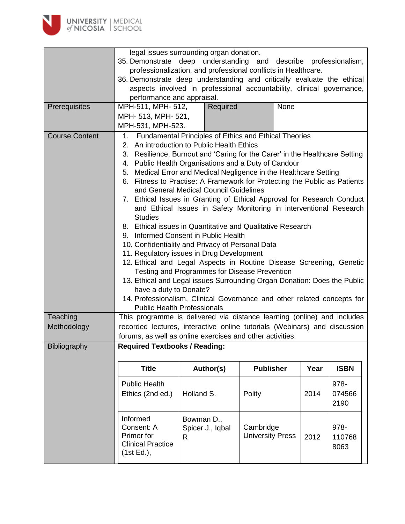

|                       | legal issues surrounding organ donation.<br>35. Demonstrate deep understanding and describe professionalism,                                                                                                                                    |                                                                             |                                                                           |      |             |  |  |  |
|-----------------------|-------------------------------------------------------------------------------------------------------------------------------------------------------------------------------------------------------------------------------------------------|-----------------------------------------------------------------------------|---------------------------------------------------------------------------|------|-------------|--|--|--|
|                       |                                                                                                                                                                                                                                                 |                                                                             |                                                                           |      |             |  |  |  |
|                       | professionalization, and professional conflicts in Healthcare.<br>36. Demonstrate deep understanding and critically evaluate the ethical<br>aspects involved in professional accountability, clinical governance,<br>performance and appraisal. |                                                                             |                                                                           |      |             |  |  |  |
|                       |                                                                                                                                                                                                                                                 |                                                                             |                                                                           |      |             |  |  |  |
|                       |                                                                                                                                                                                                                                                 |                                                                             |                                                                           |      |             |  |  |  |
|                       |                                                                                                                                                                                                                                                 |                                                                             |                                                                           |      |             |  |  |  |
| Prerequisites         | MPH-511, MPH- 512,                                                                                                                                                                                                                              | Required                                                                    | None                                                                      |      |             |  |  |  |
|                       | MPH- 513, MPH- 521,                                                                                                                                                                                                                             |                                                                             |                                                                           |      |             |  |  |  |
|                       |                                                                                                                                                                                                                                                 |                                                                             |                                                                           |      |             |  |  |  |
|                       | MPH-531, MPH-523.                                                                                                                                                                                                                               |                                                                             |                                                                           |      |             |  |  |  |
| <b>Course Content</b> | Fundamental Principles of Ethics and Ethical Theories<br>1.                                                                                                                                                                                     |                                                                             |                                                                           |      |             |  |  |  |
|                       |                                                                                                                                                                                                                                                 | 2. An introduction to Public Health Ethics                                  |                                                                           |      |             |  |  |  |
|                       |                                                                                                                                                                                                                                                 | 3. Resilience, Burnout and 'Caring for the Carer' in the Healthcare Setting |                                                                           |      |             |  |  |  |
|                       |                                                                                                                                                                                                                                                 | 4. Public Health Organisations and a Duty of Candour                        |                                                                           |      |             |  |  |  |
|                       | 5.                                                                                                                                                                                                                                              | Medical Error and Medical Negligence in the Healthcare Setting              |                                                                           |      |             |  |  |  |
|                       |                                                                                                                                                                                                                                                 | 6. Fitness to Practise: A Framework for Protecting the Public as Patients   |                                                                           |      |             |  |  |  |
|                       |                                                                                                                                                                                                                                                 | and General Medical Council Guidelines                                      |                                                                           |      |             |  |  |  |
|                       |                                                                                                                                                                                                                                                 | 7. Ethical Issues in Granting of Ethical Approval for Research Conduct      |                                                                           |      |             |  |  |  |
|                       |                                                                                                                                                                                                                                                 | and Ethical Issues in Safety Monitoring in interventional Research          |                                                                           |      |             |  |  |  |
|                       | <b>Studies</b>                                                                                                                                                                                                                                  |                                                                             |                                                                           |      |             |  |  |  |
|                       |                                                                                                                                                                                                                                                 | 8. Ethical issues in Quantitative and Qualitative Research                  |                                                                           |      |             |  |  |  |
|                       |                                                                                                                                                                                                                                                 | 9. Informed Consent in Public Health                                        |                                                                           |      |             |  |  |  |
|                       |                                                                                                                                                                                                                                                 | 10. Confidentiality and Privacy of Personal Data                            |                                                                           |      |             |  |  |  |
|                       |                                                                                                                                                                                                                                                 | 11. Regulatory issues in Drug Development                                   |                                                                           |      |             |  |  |  |
|                       |                                                                                                                                                                                                                                                 | 12. Ethical and Legal Aspects in Routine Disease Screening, Genetic         |                                                                           |      |             |  |  |  |
|                       |                                                                                                                                                                                                                                                 | Testing and Programmes for Disease Prevention                               |                                                                           |      |             |  |  |  |
|                       |                                                                                                                                                                                                                                                 | 13. Ethical and Legal issues Surrounding Organ Donation: Does the Public    |                                                                           |      |             |  |  |  |
|                       | have a duty to Donate?                                                                                                                                                                                                                          |                                                                             |                                                                           |      |             |  |  |  |
|                       |                                                                                                                                                                                                                                                 |                                                                             |                                                                           |      |             |  |  |  |
|                       | 14. Professionalism, Clinical Governance and other related concepts for<br><b>Public Health Professionals</b>                                                                                                                                   |                                                                             |                                                                           |      |             |  |  |  |
| Teaching              | This programme is delivered via distance learning (online) and includes                                                                                                                                                                         |                                                                             |                                                                           |      |             |  |  |  |
| Methodology           |                                                                                                                                                                                                                                                 |                                                                             |                                                                           |      |             |  |  |  |
|                       |                                                                                                                                                                                                                                                 |                                                                             | recorded lectures, interactive online tutorials (Webinars) and discussion |      |             |  |  |  |
| Bibliography          | forums, as well as online exercises and other activities.                                                                                                                                                                                       |                                                                             |                                                                           |      |             |  |  |  |
|                       |                                                                                                                                                                                                                                                 |                                                                             |                                                                           |      |             |  |  |  |
|                       | <b>Required Textbooks / Reading:</b>                                                                                                                                                                                                            |                                                                             |                                                                           |      |             |  |  |  |
|                       | <b>Title</b>                                                                                                                                                                                                                                    | Author(s)                                                                   | <b>Publisher</b>                                                          | Year | <b>ISBN</b> |  |  |  |
|                       |                                                                                                                                                                                                                                                 |                                                                             |                                                                           |      |             |  |  |  |
|                       | <b>Public Health</b>                                                                                                                                                                                                                            |                                                                             |                                                                           |      | 978-        |  |  |  |
|                       | Ethics (2nd ed.)                                                                                                                                                                                                                                | Holland S.                                                                  | Polity                                                                    | 2014 | 074566      |  |  |  |
|                       |                                                                                                                                                                                                                                                 |                                                                             |                                                                           |      | 2190        |  |  |  |
|                       |                                                                                                                                                                                                                                                 |                                                                             |                                                                           |      |             |  |  |  |
|                       | Informed                                                                                                                                                                                                                                        | Bowman D.,                                                                  |                                                                           |      |             |  |  |  |
|                       | Consent: A<br>Primer for                                                                                                                                                                                                                        | Spicer J., Iqbal                                                            | Cambridge                                                                 |      | 978-        |  |  |  |
|                       | <b>Clinical Practice</b>                                                                                                                                                                                                                        | R.                                                                          | <b>University Press</b>                                                   | 2012 | 110768      |  |  |  |
|                       | (1st Ed.),                                                                                                                                                                                                                                      |                                                                             |                                                                           |      | 8063        |  |  |  |